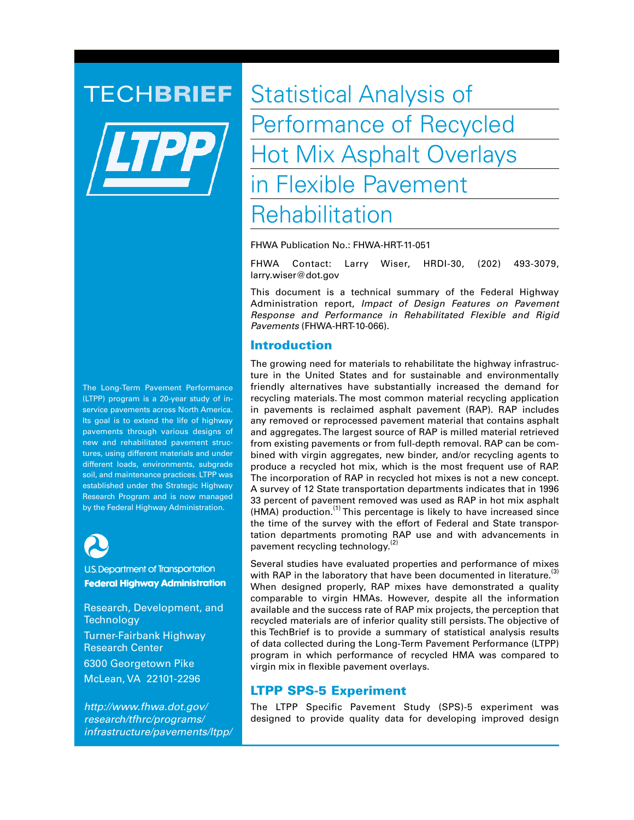The Long-Term Pavement Performance (LTPP) program is a 20-year study of inservice pavements across North America. Its goal is to extend the life of highway pavements through various designs of new and rehabilitated pavement structures, using different materials and under different loads, environments, subgrade soil, and maintenance practices. LTPP was established under the Strategic Highway Research Program and is now managed by the Federal Highway Administration.



**U.S. Department of Transportation Federal Highway Administration** 

Research, Development, and **Technology** Turner-Fairbank Highway Research Center 6300 Georgetown Pike McLean, VA 22101-2296

*http://www.fhwa.dot.gov/ research/tfhrc/programs/ infrastructure/pavements/ltpp/*

**TECHBRIEF** Statistical Analysis of Performance of Recycled Hot Mix Asphalt Overlays in Flexible Pavement Rehabilitation

FHWA Publication No.: FHWA-HRT-11-051

FHWA Contact: Larry Wiser, HRDI-30, (202) 493-3079, larry.wiser@dot.gov

This document is a technical summary of the Federal Highway Administration report, *Impact of Design Features on Pavement Response and Performance in Rehabilitated Flexible and Rigid Pavements* (FHWA-HRT-10-066).

## Introduction

The growing need for materials to rehabilitate the highway infrastructure in the United States and for sustainable and environmentally friendly alternatives have substantially increased the demand for recycling materials. The most common material recycling application in pavements is reclaimed asphalt pavement (RAP). RAP includes any removed or reprocessed pavement material that contains asphalt and aggregates. The largest source of RAP is milled material retrieved from existing pavements or from full-depth removal. RAP can be combined with virgin aggregates, new binder, and/or recycling agents to produce a recycled hot mix, which is the most frequent use of RAP. The incorporation of RAP in recycled hot mixes is not a new concept. A survey of 12 State transportation departments indicates that in 1996 33 percent of pavement removed was used as RAP in hot mix asphalt (HMA) production.<sup>(1)</sup> This percentage is likely to have increased since the time of the survey with the effort of Federal and State transportation departments promoting RAP use and with advancements in pavement recycling technology.<sup>(2)</sup>

Several studies have evaluated properties and performance of mixes with RAP in the laboratory that have been documented in literature.<sup>(3)</sup> When designed properly, RAP mixes have demonstrated a quality comparable to virgin HMAs. However, despite all the information available and the success rate of RAP mix projects, the perception that recycled materials are of inferior quality still persists. The objective of this TechBrief is to provide a summary of statistical analysis results of data collected during the Long-Term Pavement Performance (LTPP) program in which performance of recycled HMA was compared to virgin mix in flexible pavement overlays.

# LTPP SPS-5 Experiment

The LTPP Specific Pavement Study (SPS)-5 experiment was designed to provide quality data for developing improved design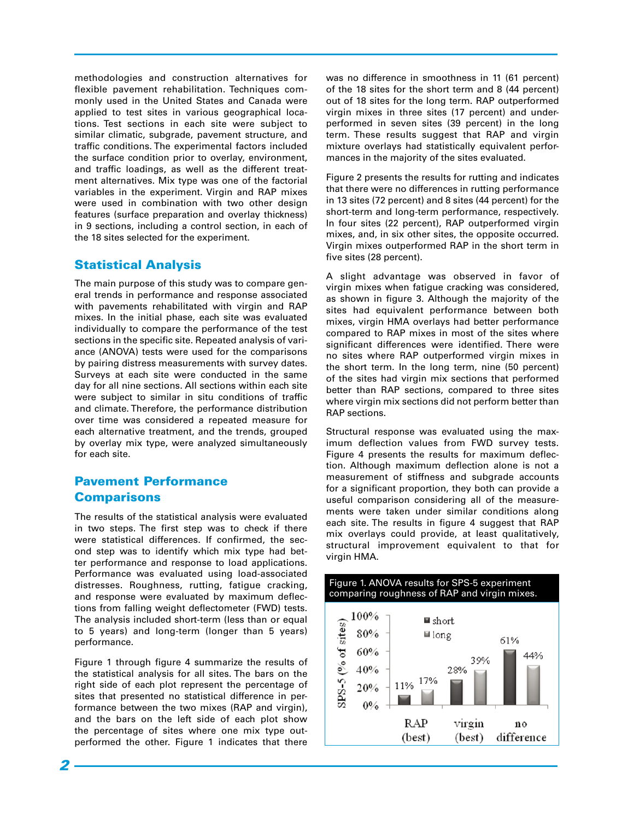methodologies and construction alternatives for flexible pavement rehabilitation. Techniques commonly used in the United States and Canada were applied to test sites in various geographical locations. Test sections in each site were subject to similar climatic, subgrade, pavement structure, and traffic conditions. The experimental factors included the surface condition prior to overlay, environment, and traffic loadings, as well as the different treatment alternatives. Mix type was one of the factorial variables in the experiment. Virgin and RAP mixes were used in combination with two other design features (surface preparation and overlay thickness) in 9 sections, including a control section, in each of the 18 sites selected for the experiment.

# Statistical Analysis

The main purpose of this study was to compare general trends in performance and response associated with pavements rehabilitated with virgin and RAP mixes. In the initial phase, each site was evaluated individually to compare the performance of the test sections in the specific site. Repeated analysis of variance (ANOVA) tests were used for the comparisons by pairing distress measurements with survey dates. Surveys at each site were conducted in the same day for all nine sections. All sections within each site were subject to similar in situ conditions of traffic and climate. Therefore, the performance distribution over time was considered a repeated measure for each alternative treatment, and the trends, grouped by overlay mix type, were analyzed simultaneously for each site.

# Pavement Performance **Comparisons**

The results of the statistical analysis were evaluated in two steps. The first step was to check if there were statistical differences. If confirmed, the second step was to identify which mix type had better performance and response to load applications. Performance was evaluated using load-associated distresses. Roughness, rutting, fatigue cracking, and response were evaluated by maximum deflections from falling weight deflectometer (FWD) tests. The analysis included short-term (less than or equal to 5 years) and long-term (longer than 5 years) performance.

Figure 1 through figure 4 summarize the results of the statistical analysis for all sites. The bars on the right side of each plot represent the percentage of sites that presented no statistical difference in performance between the two mixes (RAP and virgin), and the bars on the left side of each plot show the percentage of sites where one mix type outperformed the other. Figure 1 indicates that there

was no difference in smoothness in 11 (61 percent) of the 18 sites for the short term and 8 (44 percent) out of 18 sites for the long term. RAP outperformed virgin mixes in three sites (17 percent) and underperformed in seven sites (39 percent) in the long term. These results suggest that RAP and virgin mixture overlays had statistically equivalent performances in the majority of the sites evaluated.

Figure 2 presents the results for rutting and indicates that there were no differences in rutting performance in 13 sites (72 percent) and 8 sites (44 percent) for the short-term and long-term performance, respectively. In four sites (22 percent), RAP outperformed virgin mixes, and, in six other sites, the opposite occurred. Virgin mixes outperformed RAP in the short term in five sites (28 percent).

A slight advantage was observed in favor of virgin mixes when fatigue cracking was considered, as shown in figure 3. Although the majority of the sites had equivalent performance between both mixes, virgin HMA overlays had better performance compared to RAP mixes in most of the sites where significant differences were identified. There were no sites where RAP outperformed virgin mixes in the short term. In the long term, nine (50 percent) of the sites had virgin mix sections that performed better than RAP sections, compared to three sites where virgin mix sections did not perform better than RAP sections.

Structural response was evaluated using the maximum deflection values from FWD survey tests. Figure 4 presents the results for maximum deflection. Although maximum deflection alone is not a measurement of stiffness and subgrade accounts for a significant proportion, they both can provide a useful comparison considering all of the measurements were taken under similar conditions along each site. The results in figure 4 suggest that RAP mix overlays could provide, at least qualitatively, structural improvement equivalent to that for virgin HMA.



*2*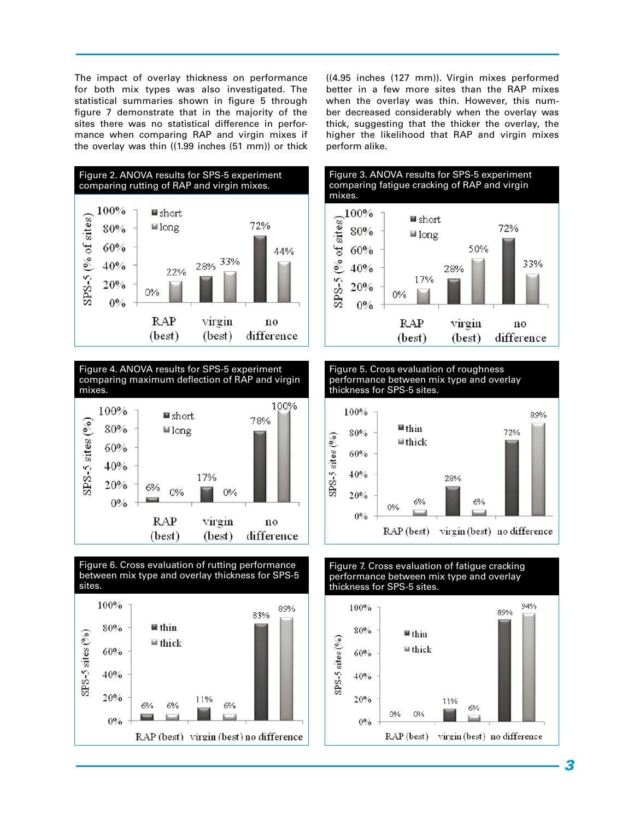The impact of overlay thickness on performance for both mix types was also investigated. The statistical summaries shown in figure 5 through figure 7 demonstrate that in the majority of the sites there was no statistical difference in performance when comparing RAP and virgin mixes if the overlay was thin ((1.99 inches (51 mm)) or thick



Figure 4. ANOVA results for SPS-5 experiment comparing maximum deflection of RAP and virgin mixes.





((4.95 inches (127 mm)). Virgin mixes performed better in a few more sites than the RAP mixes when the overlay was thin. However, this number decreased considerably when the overlay was thick, suggesting that the thicker the overlay, the higher the likelihood that RAP and virgin mixes perform alike.









# performance between mix type and overlay